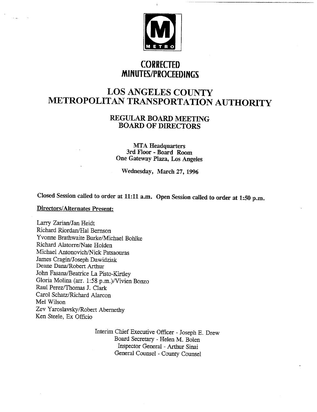

### **CORRECTED MINUTES/PROCEEDINGS**

## **LOS ANGELES COUNTY METROPOLITAN TRANSPORTATION AUTHORITY**

### **REGULAR BOARD MEETING** BOARD OF **DIRECTORS**

**MTA Headquarters 3rd Floor - Board Room One Gateway Plaza, Los Angeles**

**Wednesday, March 27, 1996**

**Closed Session called to order at 11:11 a.m. Open Session called to order at 1:50 p.m.**

### **Directors/Alternates Present:**

Larry Zarian/Jan Heidt Richard Riordan/Hal Bernson Yvorme Brathwaite Burke/Michael Bohlke Richard Alatorre/Nate Holden Michael Antonovich/Nick Patsaouras James Cragin/Joseph Dawidziak Deane Dana/Robert Arthur John Fasana/Beatrice La Pisto-Kirtley Gloria Molina (an'. 1:58 p.m.)/Vivien Bonzo Raul Perez/Thomas J. Clark Carol Schatz/Richard Alarcon Mel Wilson Zev Yaroslavsky/Robert Abernethy Ken Steele, Ex Officio

> Interim Chief Executive Officer - Joseph E. Drew Board Secretary - Helen M. Bolen Inspector General - Arthur Sinai General Counsel - County Counsel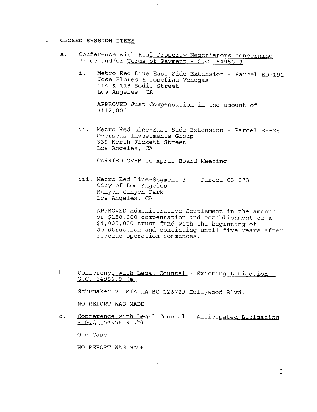#### $1.$ **CLOSED SESSION ITEMS**

**a.** Conference with Real Property Neqotiators concerninq Price and/or Terms of Payment - G.C. 54956.8

 $\mathbf{r}$ 

Metro Red Line East Side Extension - Parcel ED-191 i. Jose Flores & Josefina Venegas 114 & 118 Bodie Street Los Angeles, CA

APPROVED Just Compensation in the amount of \$142,000

ii. Metro Red Line-East Side Extension - Parcel EE-281 Overseas Investments Group 339 North Fickett Street Los Angeles, CA

CARRIED OVER to April Board Meeting

iii. Metro Red Line-Segment 3 – Parcel C3-27 City of Los Angeles Runyon Canyon Park Los Angeles, CA

> APPROVED Administrative Settlement in the amount of \$150,000 compensation and establishment of a \$4,000,000 trust fund with the beginning of construction and continuing until five years after revenue operation commences.

- b. Conference with Legal Counsel - Existing Litigation -G.C. 54956.9 (a) Schumaker v. MTA LA BC 126729 Hollywood Blvd. NO REPORT WAS MADE
- $\mathsf{C}$ . Conference with Legal Counsel - Anticipated Litigation **-s.c. 54956.9**

One Case

NO REPORT WAS MADE

 $\overline{2}$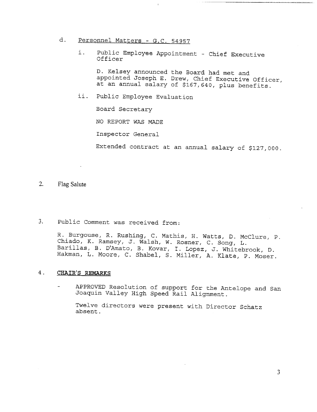- d. Personnel Matters G.C. 54957
	- Public Employee Appointment Chief Executive i. Officer

D. Kelsey announced the Board had met and appointed Joseph E. Drew, Chief Executive Officer, at an annual salary of \$167,640, plus benefits.

ii. Public Employee Evaluation

Board Secretary

NO REPORT WAS MADE

Inspector General

Extended contract at an annual salary of \$127,000.

- 2. Flag Salute
- $3.$ Public Comment was received from:

R. Burgouse, R. Rushing, C. Mathis, H. Watts, D. McClure, P. Chiado, K. Ramsey, J. Walsh, W. Rosner, C. Song, L. Barillas, B. D'Amato, B. Kovar, I. Lopez, J. Whitebrook, D. Hakman, L. Moore, C. Shabel, S. Miller, A. Klate, P. Moser.

### <sup>o</sup> **CHAIR'S REMARKS**

APPROVED Resolution of support for the Antelope and San Joaquin Valley High Speed Rail Alignment.

Twelve directors were present with Director Schatz absent.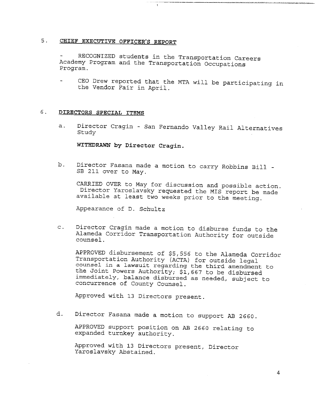### **5. CHIEF EXECUTIVE OFFICER'S REPORT**

RECOGNIZED students in the Transportation Careers Academy Program and the Transportation Occupations Program.

CEO Drew reported that the MTA will be participating in the Vendor Fair in April.

#### 6. **DIRECTORS SPECIAL ITEMS**

a. Director Cragin - San Fernando Valley Rail Alternatives Study

**WITEDI%AWN by Director Cragin.**

Director Fasana made a motion to carry Robbins Bill b. SB 211 over to May.

CARRIED OVER to May for discussion and possible action. Director Yaroslavsky requested the MIS report be made available at least two weeks prior to the meeting.

Appearance of D. Schultz

Director Cragin made a motion to disburse funds to the  $\mathbf{C}$ . Alameda Corridor Transportation Authority for outside counsel.

APPROVED disbursement of \$5,556 to the Alameda Corridor Transportation Authority (ACTA) for outside legal counsel in a lawsuit regarding the third amendment to the Joint Powers Authority; \$1,667 to be disburse immediately, balance disbursed as needed, subject to concurrence of County Counsel.

Approved with 13 Directors present.

d. Director Fasana made a motion to support AB 2660.

APPROVED support position on AB 2660 relating to expanded turnkey authority.

Approved with 13 Directors present, Director Yaroslavsky Abstained.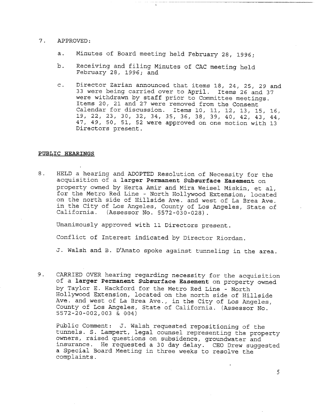#### $7.$ APPROVED:

- a. Minutes of Board meeting held February 28, 1996;
- b. Receiving and filing Minutes of CAC meeting held February 28, 1996; and
- Director Zarian announced that items 18, 24, 25, 29 and  $\mathtt{C}$  . 33 were being carried over to April. Items 26 and 37 were withdrawn by staff prior to Committee meetings. Items 20, 21 and 27 were removed from the Consent Calendar for discussion. Items i0, Ii, 12, 13, 15, 16, 19, 22, 23, 30, 32, 34, 35, 36, 38, 39, 40, 42, 43, 44, 47, 49, 50, 51, 52 were approved on one motion with 13 Directors present.

### **PUBLIC HEARINGS**

 $8.$ HELD a hearing and ADOPTED Resolution of Necessity for the acquisition of a larger Permanent Subsurface Easement on property owned by Herta Amir and Mira Weisel Miskin, et al, for the Metro Red Line - North Hollywood Extension, located on the north side of Hillside Ave. and west of La Brea Ave. in the City of Los Angeles, County of Los Angeles, State of California. (Assessor No. 5572-030-028).

Unanimously approved with Ii Directors present.

Conflict of Interest indicated by Director Riordan.

J. Walsh and B. D'Amato spoke against tunneling in the area.

9. CARRIED OVER hearing regarding necessity for the acquisition of a larger Permanent Subsurface Easement on property owned by Taylor E. Hackford for the Metro Red Line - North Hollywood Extension, located on the north side of Hillside Ave. and west of La Brea Ave., in the City of Los Angeles, County of Los Angeles, State of California. (Assessor No. 5572-20-002,003 & 004)

Public Comment: J. Walsh requested repositioning of the tunnels. S. Lampert, legal counsel representing the property owners, raised questions on subsidence, groundwater and insurance. He requested a 30 day delay. CEO Drew suggested a Special Board Meeting in three weeks to resolve the complaints.

 $\mathfrak{S}$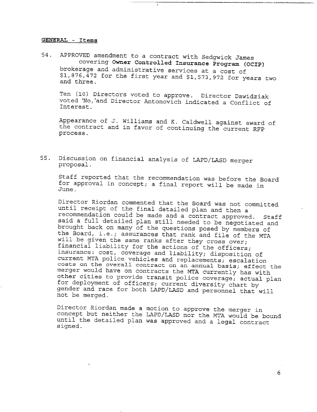### **GENERAL - Items**

54. APPROVED amendment to a contract with Sedgwick James covering **Owner Controlled Insurance Program (OC!P)** brokerage and administrative services at a cost of  $$1,876,472$  for the first year and  $$1,573,972$  for years two and three.

Ten (I0) Directors voted to approve. Director Dawidziak voted 'No,'and Director Antonovich indicated a Conflict of Interest.

Appearance of J. Williams and K. Caldwell against award of the contract and in favor of continuing the current RFP process.

55. Discussion on financial analysis of LAPD/LASD merger proposal.

Staff reported that the recommendation was before the Board for approval in concept; a final report will be made in June.

Director Riordan commented that the Board was not committed until receipt of the final detailed plan and then a recommendation could be made and a contract approved. Staff said a full detailed plan still needed to be negotiated and brought back on many of the questions posed by members of the Board, i.e.; assurances that rank and file of the MTA will be given the same ranks after they cross over; financial liability for the actions of the officers; insurance: cost, coverage and liability; disposition of current MTA police vehicles and replacements; escalation costs on the overall contract on an annual basis; effect the merger would have on contracts the MTA currently has with other cities to provide transit police coverage; actual plan for deployment of officers; current diversity chart by gender and race for both LAPD/LASD and personnel that will not be merged.

Director Riordan made a motion to approve the merger in concept but neither the LAPD/LASD nor the MTA would be bound until the detailed plan was approved and a legal contract signed.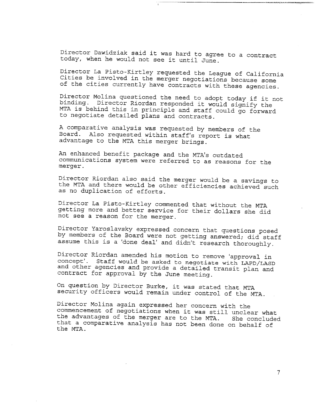Director Dawidziak said it was hard to agree to a contract today, when he would not see it until June.

Director La Pisto-Kirtley requested the League of California Cities be involved in the merger negotiations because some of the cities currently have contracts with these agencies.

Director Molina questioned the need to adopt today if it not binding. Director Riordan responded it would signify the MTA is behind this in principle and staff could go forward to negotiate detailed plans and contracts.

A comparative analysis was requested by members of the Board. Also requested within staff's report is what advantage to the MTA this merger brings.

An enhanced benefit package and the MTA's outdated communications system were referred to as reasons for the merger.

Director Riordan also said the merger would be a savings to the MTA and there would be other efficiencies achieved such as no duplication of efforts.

Director La Pisto-Kirtley commented that without the MTA getting more and better service for their dollars she did not see a reason for the merger.

Director Yaroslavsky expressed concern that questions posed by members of the Board were not getting answered; did staff assume this is a 'done deal' and didn't research thoroughly.

Director Riordan amended his motion to remove 'approval in concept'. Staff would be asked to negotiate with LAPD/LAS and other agencies and provide a detailed transit plan and contract for approval by the June meeting.

On question by Director Burke, it was stated that MTA security officers would remain under control of the MTA.

Director Molina again expressed her concern with the commencement of negotiations when it was still unclear what the advantages of the merger are to the MTA. She concluded that a comparative analysis has not been done on behalf of the MTA.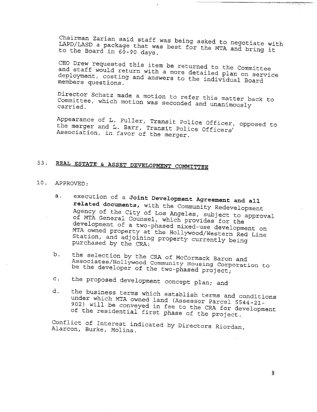Chairman Zarian said staff was being asked to negotiate with LAPD/LASD a package that was best for the MTA and bring it to the Board in 60-90 days.

CEO Drew requested this item be returned to the Committee and staff would return with a more detailed plan on service deployment, costing and answers to the individual Board members questions.

Director Schatz made a motion to refer this matter back to Committee, which motion was seconded and unanimously carried.

Appearance of L. Fuller, Transit Police Officer, opposed to the merger and L. Barr, Transit Police Officers' Association, in favor of the merger.

## 53. **REAL ESTATE & ASSET DEVELOPMENT COMMiTTB~**

### i0. APPROVED:

- a. execution of a Joint Development Agreement and all related documents, with the Community Redevelopment Agency of the City of Los Angeles, subject to approval of MTA General Counsel, which provides for the development of a two-phased mixed-use development on MTA owned property at the Hollywood/Western Red Line Station, and adjoining property currently being purchased by the CRA:
- b. the selection by the CRA of McCormack Baron and Associates/Hollywood Community Housing Corporation to be the developer of the two-phased project;
- c. the proposed development concept plan; and
- d. the business terms which establish terms and conditions under which MTA owned land (Assessor Parcel 5544-21- 902) will be conveyed in fee to the CRA for  $\frac{1}{2}$ of the residential first phase of the project.

Conflict of interest indicated by Directors Riordan, Alarcon, Burke, Molina.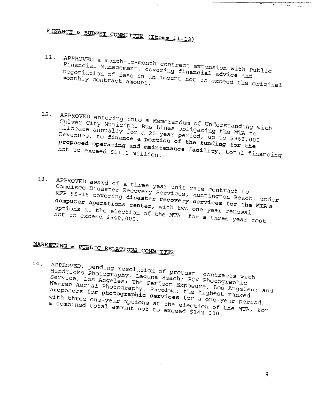# FINANCE & BUDGET COMMITTEE (Items 11-13)

 $11.$  APPROVED a month-to-month contract extension with Public with Public extension with Public extension with Public extension with Public extension with Public extension with Public extension with Public extension with Financial Management, contract extension with a negotiation of fees in an amount not to example the original multiple monthly contract amount.

 $\mathbf{r}$ 

- 12. APPROVED entering into a Memorandum of Understandum of Understandum of Understandum of Union Co Culver City Municipal Bus demorandum of Understandi allocate annually for  $\frac{1}{2}$   $\frac{1}{2}$  and  $\frac{1}{2}$  allocate  $\frac{1}{2}$  and  $\frac{1}{2}$   $\frac{1}{2}$   $\frac{1}{2}$   $\frac{1}{2}$   $\frac{1}{2}$   $\frac{1}{2}$   $\frac{1}{2}$   $\frac{1}{2}$   $\frac{1}{2}$   $\frac{1}{2}$   $\frac{1}{2}$   $\frac{1}{2}$   $\frac{1}{2}$   $\frac{1}{2}$   $\$ Culver City Municipal Bus Lines obligating the MTA to<br>allocate annually for a 20 year period, up to \$965,000<br>Revenues, to finance a portion of the funding for the proposed operating and **maintenance facility,** total financing not to exceed \$11.1 million.
- 

13. APPROVED award of a three-year unit rate contract to Comdisco Disaster Beach, Bear unit rate Contract Lu RFP 95-16 covering **disaster recovery services for the** MTA's RFP 95-16 covering disaster recovery services for the MTA's<br>computer operations center, with two one-year renewal options at the election of the WICA two one-year reports. not to exceed \$540,000

# MARKETING & PUBLIC RELATIONS COMMITTEE

14. APPROVED, pending resolution of protests with protests with  $P$ Hendricks Photography, Laguna OI pro service, Los Angeles; The Perfect Frogman Photograph warren Aerial Photography - Friect Exposure, Los Aprili proposers for photography, Pacoima; the highest  $m$ ; an Warren Aerial Photography, Pacoima; the highest ranked<br>proposers for photographic services for a one-year period,<br>with three one-year options at the election of the MTA, for<br>a combined total amount not to exceed \$142,000. a composers for photographic services for a one-year period,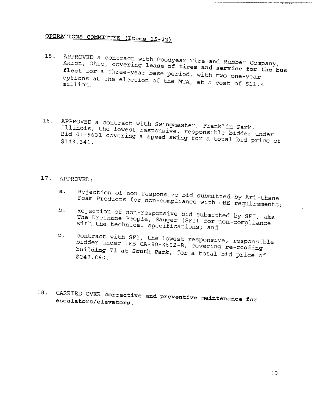## **QPERATIONS COMMITTEE (Items 15-22)**

15. APPROVED a contract with Goodyear Tire and Rubber Company, Akron, Ohio, covering lease of tires and service for the bus **fleet** for a three-year base period, with two one-year options at the election of the  $\frac{1}{4}$  mich two one-year million.

 $\mathfrak{t}$ 

16. APPROVED a contract with Swingmaster, Franklin Park, Illinois, the lowest responsive, responsible bidder under Bid 01-9631 covering a **speed swing** for a total bid price of \$143,341.

### 17. APPROVED:

- Rejection of non-responsive bid submitted by Ari-thane  $a.$ Foam Products for non-compliance with DBE requirements;
- b. Rejection of non-responsive bid submitted by  $S_{\mathcal{F}}$ The Urethane People, Sanger (SFI) for non-compliance with the technical specifications; and The Urethane People, Sanger (STI, Submitted by SFI,
- $\subset$  . contract with SFI, the lowest responsive, responsible bidder under IFB CA-90-X602-B, covering **re-roofing building 71 at** South Park, for a total bid price of \$247,860.
- **18. CARRIED OVER corrective and preventive maintenance for escalators/elevators.**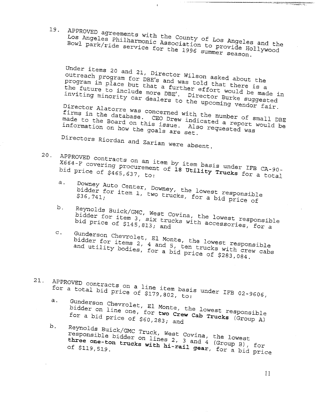19.

APPROVED agreements with the County of Los Angeles and the County of Los Angeles and the County of Los Angeles and the County of Los Angeles and the County of Los Angeles and the County of Los Angeles and the County of Los Los Angeles Philharmonic With the County of Ican Bowl park/ride service association to president

 $\mathbf{r}$ 

Under items 20 and 21, Director Wilson asked about the<br>outreach program for DBE's and was told that the program in place but used and was told that the onact items 20 and 21, Director Wilson asked about the<br>outreach program for DBE's and was told that there is a<br>program in place but that a further effort would is a program in place but that a further effort would be made in<br>the future to include more DBE'. Director Rurke and a functing minority car dool. Director Rurke and in the future to include more DBE'. Director Burke suggested<br>inviting minority car dealers to the upcoming vendors of inviting minority car dealers to the upcoming vendor fair.<br>Director Alatorre was conserved. Director Alatorre was concerned with the number of small DBE<br>firms in the database. CEO Drew indicated a report wouldn't Firms in the database. CEO Drew indicated a report would be<br>made to the Board on this issue. Also requested was<br>information on how the coals ... Also requested was and the database. CEO Drew indicated a report made to the Board on this issue. Also requested was information on how the goals are set.

Directors Riordan and Zarian were absent.

- APPROVED contracts on an item by item basis under IFB CA-90-<br>X664-F covering procurement of 18 Utility Trucks for CA-90-20. X664-F covering procurement of 18 Utility Trucks for a total<br>bid price of \$465,637, to:
	- Downey Auto Center, Downey, the lowest responsible<br>bidder for item 1, two trucks, for a bid prisule a. bidder for item 1, bowney, the lowest responsible<br>\$36,741;<br>\$36,741;
	- Reynolds Buick/GMC, West Covina, the lowest responsible<br>bidder for item 3, six trucks with accessories b. bidder for item 3, six trucks with accessories, for a<br>bidder for item 3, six trucks with accessories, for a
	- Gunderson Chevrolet, El Monte, the lowest responsible<br>bidder for items 2, 4 and 5, ten trucks with anomal  $\mathbf{C}$ . bidder for items 2, 4 and 5, the lowest responsible<br>and utility bodies, for a bid price of \$282,000 and utility bodies, for a bid price of \$283,084.
- $21.$  APPROVED contracts on a line item basis under IFB 02-9606,  $\frac{1}{2}$ for a total bid  $max_{s=1}^{\infty}$  of  $s=1$ le item bas
	- a. Gunderson Chevrolet, El Monte, the lowest responsible responsible responsible responsible responsible responsible. bidder on line  $\cos t$  for  $\sin t$  the lowest recrew  $\sin t$ bidder on line one, for two Crew Cab Trucks (Group A)<br>for a bid price of \$60,283; and
	- b. Reynolds Buick/GMC True responsible bidder on linest Covina. responsible bidder on lines 2, 3 and 4 (Group B), for three one-ton trucks with hi-rail gear, for a bid price<br>of \$119,519.

 $11$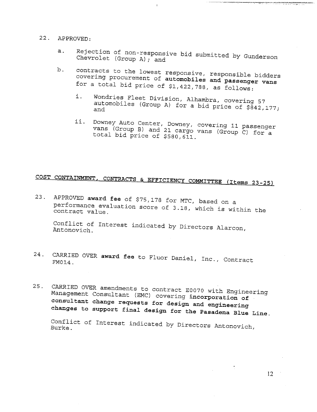### 22. APPROVED:

Rejection of non-responsive bid submitted by Gunderson  $a.$ Chevrolet (Group A); and

 $\mathbf{I}$ 

- $b$ . contracts to the lowest responsive, responsible bidders covering procurement of **automobiles and passenger vans** for a total bid price of \$1,422,788, as follows:
	- i. Wondries Fleet Division, Alhambra, covering 57 automobiles (Group A) for a bid price of \$842,177; and
	- ii. Downey Auto Center, Downey, covering II passenger vans (Group B) and 21 cargo vans (Group C) for a total bid price of \$580, 611.

# COST CONTAINMENT, CONTRACTS & EFFICIENCY COMMITTEE (Items 23-25)

23. APPROVED **award fee** of \$75,178 for MTC, based on a performance evaluation score of 3.18 which is with contract value.

Conflict of Interest indicated by Directors Alarcon, Antonovich.

- 24. CARRIED OVER award fee to Fluor Daniel Inc. Contract Contract Contract Contract Contract Contract Contract Contract Contract Contract Contract Contract Contract Contract Contract Contract Contract Contract Contract Con  $FM014$ .
- 25. CARRIED OVER amendments to contract E0070 with Engineering Management Consultant (EMC) covering **incorporation of consultant change requests for design and engineering changes to support final design for the Pasadena Blue Line.**

Conflict of Interest indicated by Directors Antonovic Burke.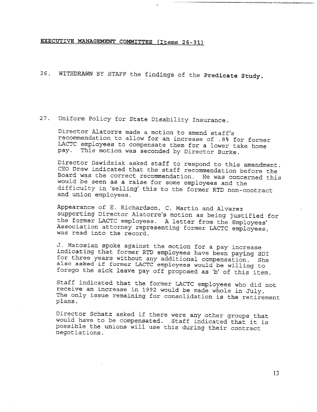### **EXECUTIVE MANAGEMENT COMMITTEE (Items 26-31)**

26. WITHDRAWN BY STAFF the findings of the Predicate Study.

### 27. Uniform Policy for State Disability Insurance.

Director Alatorre made a motion to amend staff's recommendation to allow for an increase of .8% for former LACTC employees to compensate them for a lower take home pay. This motion was seconded by Director Burke.

Director Dawidziak asked staff to respond to this amendment. CEO Drew indicated that the staff recommendation before the Board was the correct recommendation. He was concerned this would be seen as a raise for some employees and the difficulty in 'selling' this to the former RTD non-contract and union employees.

Appearance of E. Richardson, C. Martin and Alvarez supporting Director Alatorre's motion as being justified for the former LACTC employees. A letter from the Employees' Association attorney representing former LACTC employees, was read into the record.

J. Matosian spoke against the motion for a pay increase indicating that former RTD employees have been paying SDI for three years without any additional compensation. She also asked if former LACTC employees would be willing to forego the sick leave pay off proposed as 'b' of this item.

Staff indicated that the former LACTC employees who did not receive an increase in 1992 would be made whole in July. The only issue remaining for consolidation is the retirement plans.

Director Schatz asked if there were any other groups that would have to be compensated. Staff indicated that it is possible the unions will use this during their contract negotiations.

xurtan atrizte soquezunung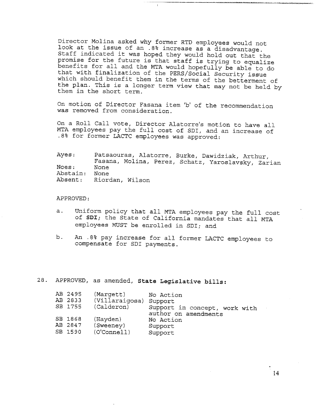Director Molina asked why former RTD employees would not look at the issue of an .8% increase as a disadvantage. Staff indicated it was hoped they would hold out that the promise for the future is that staff is trying to equalize benefits for all and the MTA would hopefully be able to do that with finalization of the PERS/Social Security issue which should benefit them in the terms of the betterment of the plan. This is a longer term view that may not be held by them in the short term.

On motion of Director Fasana item 'b' of the recommendation was removed from consideration.

On a Roll Call vote, Director Alatorre's motion to have all MTA employees pay the full cost of SDI, and an increase of .8% for former LACTC employees was approved:

Ayes: Noes: Abstain: Absent: Patsaouras, Alatorre, Burke, Dawidziak, Arthur, Fasana, Molina, Perez, Schatz, Yaroslavsky, Zarian None None Riordan, Wilson

APPROVED:

- a. Uniform policy that all MTA employees pay the full cost of SDI; the State of California mandates that all MTA employees MUST be enrolled in SDI; and
- b. An .8% pay increase for all former LACTC employees to compensate for SDI payments.

28. APPROVED, as amended, State Legislative bills:

| AB 2495 | (Margett)              | No Action                     |
|---------|------------------------|-------------------------------|
| AB 2833 | (Villaraigosa) Support |                               |
| SB 1755 | (Calderon)             | Support in concept, work with |
|         |                        | author on amendments          |
| SB 1868 | (Hayden)               | No Action                     |
| AB 2847 | (Sweeney)              | Support                       |
| SB 1590 | (O'Connect)            | Support                       |
|         |                        |                               |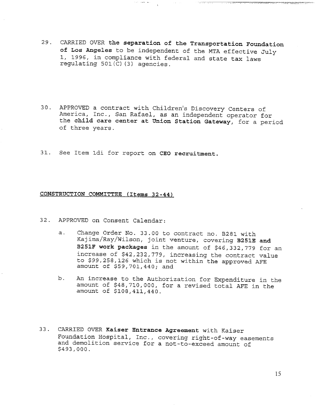29. CARRIED OVER the **separation of the Transportation Foundation** of Los Angeles to be independent of the MTA effective July I, 1996, in compliance with federal and state tax laws regulating 501(C) (3) agencies.

i man<del>aki</del>na<del>ti</del>a

,,,,,,,,,,,,,,,,,,,,,,,,,,

أأرض المتباد الجداد

- 30. APPROVED a contract with Children's Discovery Centers of America, Inc., San Rafael, as an independent operator for the child care center at **Union Station** Gateway, for a period of three years.
- 31. See Item idi for report on CEO recruitment.

### **CONSTRUCTION COMMITTEE (Items 32-44)**

- 32. APPROVED on Consent Calendar:
	- Change Order No. 33.00 to contract no. B281 with  $a<sub>1</sub>$ Kajima/Ray/Wilson, joint venture, covering B251E **and** B251F work packages in the amount of \$46,332,779 for an increase of \$42,232,779, increasing the contract value to \$99,258,126 which is not within the approved AYE amount of \$59,701,440; and
	- b. An increase to the Authorization for Expenditure in the amount of \$48,710,000, for a revised total AFE in the amount of \$108,411,440.
- 33. CARRIED OVER Kaiser Entrance Agreement with Kaiser Eoundation Hospital, Inc., covering right-of-way easements and demolition service for a not-to-exceed amount of \$493,000.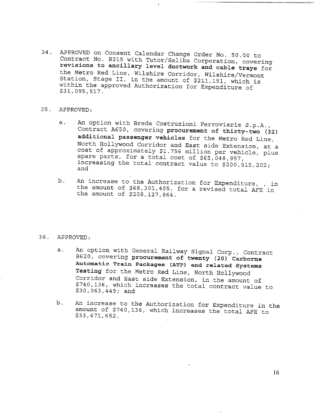- 34. APPROVED on Consent Calendar Change Order No. 50.00 to Contract No. B215 with Tutor/Saliba Corporation, covering **revisions to ancillary level ductwork and cable trays** for the Metro Red Line, Wi!shire Corridor, Wilshire/Vermont Station, Stage II, in the amount of \$211,151, which is within the approved Authorization for Expenditure of \$31,095,517.
- 35. APPROVED:
	- a. An option with Breda Costruzioni Ferroviarie S.p.A., Contract A650, covering procurement of thirty-two (32) **additional passenger vehicles** for the Metro Red Line, North Hollywood Corridor and East side Extension, at a cost of approximately \$1.756 million per vehicle, plus spare parts, for a total cost of \$65,048,957, increasing the total contract value to \$200,515,202; and
	- b. An increase to the Authorization for Expenditure, , in the amount of \$68,301,405, for a revised total AFE in the amount of \$208,127,864.

#### 36. APPROVED:

- a. An option with General Railway Signal Corp., Contract B620, covering procurement of twenty (20) **Carborne Automatic Train Packages (ATP) and related Systems Testing** for the Metro Red Line, North Hollywood Corridor and East side Extension, in the amount of \$740,136, which increases the total contract value to \$30,063,449; and
- b. An increase to the Authorization for Expenditure in the amount of \$740,136, which increases the total AFE to \$33,471,652.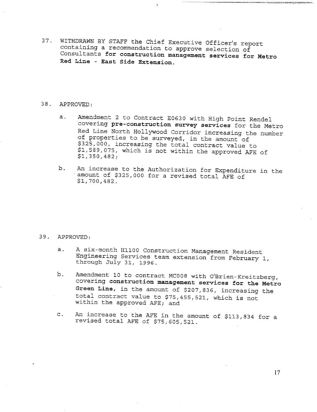37. WITHDRAWN BY STAFF the Chief Executive Officer's report containing a recommendation to approve selection of Consultants for **construction management services** for Metro **Red Line - East Side Extension.**

### 38. APPROVED:

- Amendment 2 to Contract E0630 with High Point Rendel a. covering pre-construction survey services for the Metro Red Line North Hollywood Corridor increasing the number of properties to be surveyed, in the amount of \$325,000, increasing the total contract value to \$1,589,075, which is not within the approved AFE of \$1,350,482;
- b. An increase to the Authorization for Expenditure in the amount of \$325,000 for a revised total AFE of \$1,700,482.

#### 39. APPROVED:

- a. A six-month H1100 Construction Management Resident Engineering Services team extension from February i, through July 31, 1996.
- b. Amendment 10 to contract MC008 with O'Brien-Kreitzberg, covering construction **management services for the** Metro **Green Line,** in the amount of \$207,836, increasing the total contract value to \$75,455,521, which is not within the approved AFE; and
- An increase to the AFE in the amount of \$113,834 for a  $\circ$ . revised total AFE of \$75,605,521.

]7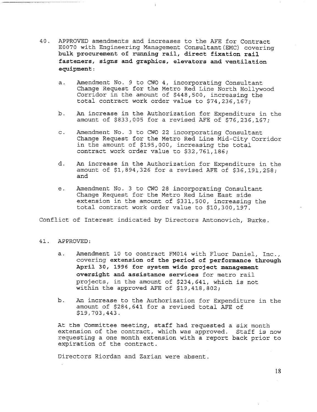- 40. APPROVED amendments and increases to the AEE for Contract E0070 with Engineering Management Consultant(EMC) covering **bulk procurement of running rail, direct fixation rail fasteners, signs and graphics, elevators and ventilation equipment:**
	- a. Amendment No. 9 to CWO 4, incorporating Consultant Change Request for the Metro Red Line North Hollywood Corridor in the amount of \$448,500, increasing the total contract work order value to \$74,236,167;
	- b. An increase in the Authorization for Expenditure in the amount of \$833,005 for a revised AFE of \$76,236,167;
	- c. Amendment No. 3 to CWO 22 incorporating Consultant Change Request for the Metro Red Line Mid-City Corridor in the amount of \$195,000, increasing the total contract work order value to \$32,761,186;
	- d. An increase in the Authorization for Expenditure in the amount of \$1,894,326 for a revised AFE of \$36,191,258; and
	- Amendment No. 3 to CWO 28 incorporating Consultant e. Change Request for the Metro Red Line East side extension in the amount of \$331,500, increasing the total contract work order value to \$10,300,197.

Conflict of Interest indicated by Directors Antonovich, Burke.

### 41. APPROVED:

- a. Amendment 10 to contract FM014 with Fluor Daniel, Inc., covering **extension of the period of performance through** April 30, 1996 for system wide project management **oversight and assistance services** for metro rail projects, in the amount of \$234,641, which is not within the approved AFE of \$19,418,802;
- b. An increase to the Authorization for Expenditure in the amount of \$284,641 for a revised total AFE of \$19,703,443.

At the Committee meeting, staff had requested a six month extension of the contract, which was approved. Staff is now requesting a one month extension with a report back prior to expiration of the contract.

Directors Riordan and Zarian were absent.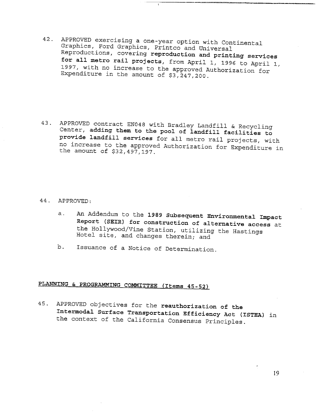- 42. APPROVED exercising a one-year option with Continental Graphics, Ford Graphics, Printco and Universal Reproductions, covering **reproduction and printing services for all metro rail projects,** from April i, 1996 to April i, 1997, with no increase to the approved Authorization for Expenditure in the amount of  $$3,247,200$ .
- 43. APPROVED contract EN048 with Bradley Landfill & Recycling Center, adding them **to the pool of landfill facilities to provide landfill services** for all metro rail projects, with. no increase to the approved Authorization for Expenditure in the amount of \$32,497,197.

44. APPROVED:

- An Addendum to the 1989 Subsequent **Environmental Impact**  $a.$ **Report (SEIR) for construction of alternative access** at the Hollywood/Vine Station, utilizing the Hastings Hotel site, and changes therein; and
- b. Issuance of a Notice of Determination.

## PLANNING & PROGRAMMING COMMITTEE (Items 45-52)

45. APPROVED objectives for the **reauthorization of the Intermodal Surface Transportation Efficiency Act (ISTEA)** in the context of the California Consensus Principles.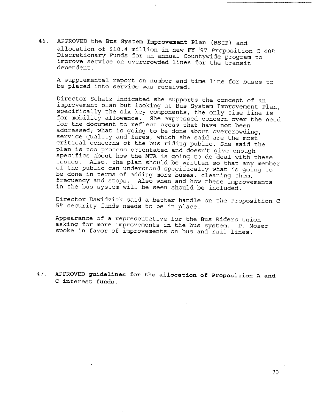46. APPROVED the **Bus System Improvement Plan** (BSIP) and allocation of \$10.4 million in new FY '97 Proposition C 40% Discretionary Funds for an annual Countywide program to improve service on overcrowded lines for the transit dependent.

A supplemental report on number and time line for buses to be placed into service was received.

Director Schatz indicated she supports the concept of an improvement plan but looking at Bus System Improvement Plan, specifically the six key components, the only time line is for mobility allowance. She expressed concern over the need for the document to reflect areas that have not been addressed; what is going to be done about overcrowding, service quality and fares, which she said are the most critical concerns of the bus riding public. She said the plan is too process orientated and doesn't give enough specifics about how the MTA is going to do deal with thes issues. Also, the plan should be written so that any membe of the public can understand specifically what is going to be done in terms of adding more buses, cleaning them, frequency and stops. Also when and how these improvements in the bus system will be seen should be included.

Director Dawidziak said a better handle on the Proposition C 5% security funds needs to be in place.

Appearance of a representative for the Bus Riders Union asking for more improvements in the bus system. P. Moser spoke in favor of improvements on bus and rail lines.

**APPROVED guidelines for the allocation of Proposition A and** 47. **C interest funds.**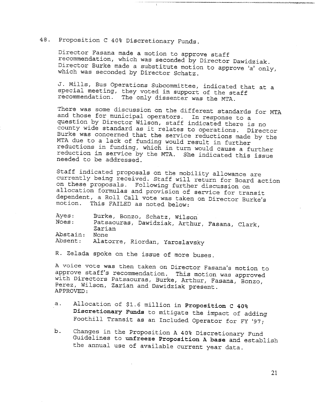### 48. Proposition C 40% Discretionary Funds.

Director Fasana made a motion to approve staff recommendation, which was seconded by Director Dawidziak. Director Burke made a substitute motion to approve 'a' only, which was seconded by Director Schatz.

J. Mills, Bus Operations Subcommittee, indicated that at a special meeting, they voted in support of the staff recommendation. The only dissenter was the MTA.

There was some discussion on the different standards for MTA and those for municipal operators. In response to a question by Director Wilson, staff indicated there is no county wide standard as it relates to operations. Director Burke was concerned that the service reductions made by the MTA due to a lack of funding would result in further reductions in funding, which in turn would cause a further reduction in service by the MTA. She indicated this issue needed to be addressed.

Staff indicated proposals on the mobility allowance are currently being received. Staff will return for Board action on these proposals. Following further discussion on allocation formulas and provision of service for transit dependent, a Roll Call vote was taken on Director Burke's motion. This FAILED as noted below:

Ayes: Noes: Abstain: Absent: Burke, Bonzo, Schatz, Wilson Patsaouras, Dawidziak, Arthur, Fasana, Clark, Zarian None Alatorre, Riordan, Yaroslavsky

R. Zelada spoke on the issue of more buses.

A voice vote was then taken on Director Fasana's motion to approve staff's recommendation. This motion was approved with Directors Patsaouras, Burke, Arthur, Easana, Bonzo, Perez, Wilson, Zarian and Dawidziak present. APPROVED:

- a. Allocation of \$1.6 million in Proposition C 40% Discretionary Funds to mitigate the impact of adding Foothill Transit as an Included Operator for FY '97;
- b. Changes in the Proposition A 40% Discretionary Fund Guidelines to unfreeze Proposition A base and establish the annual use of available current year data.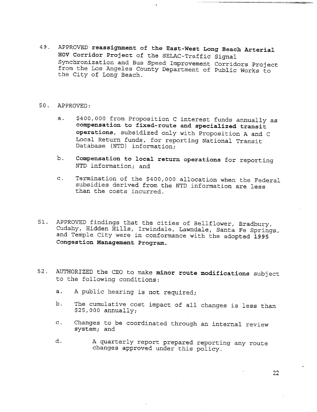49. APPR©VED **reassignment of the East-West Long Beach Arterial** HOV **Corridor Project** of the SELAC-Traffic Signal Synchronization and Bus Speed Improvement Corridors Project from the Los Angeles County Department of Public Works to the City of Long Beach.

### 50. APPROVED:

- a. \$400,000 from Proposition C interest funds annually as **compensation to fixed-route and specialized transit operations,** subsidized only with Proposition A and C Local Return funds, for reporting National Transit Database (NTD) information;
- b. Compensation to local return operations for reporting NTD information; and
- c. Termination of the \$400,000 allocation when the Federal subsidies derived from the NTD information are less than the costs incurred.
- 51. APPROVED findings that the cities of Bellflower, Bradbury, Cudahy, Hidden Hills, Irwindale, Lawndale, Santa Fe Springs, and Temple City were in conformance with the adopted 1995 **Congestion Management Program.**
- 52. AUTHORIZED the CEO to make **minor route modifications** subject to the following conditions:
	- a. A public hearing is not required;
	- b. The cumulative cost impact of all changes is less than \$25,000 annually;
	- Changes to be coordinated through an internal review  $\mathbf{C}$ . system; and
	- d. A quarterly report prepared reporting any route changes approved under this policy.